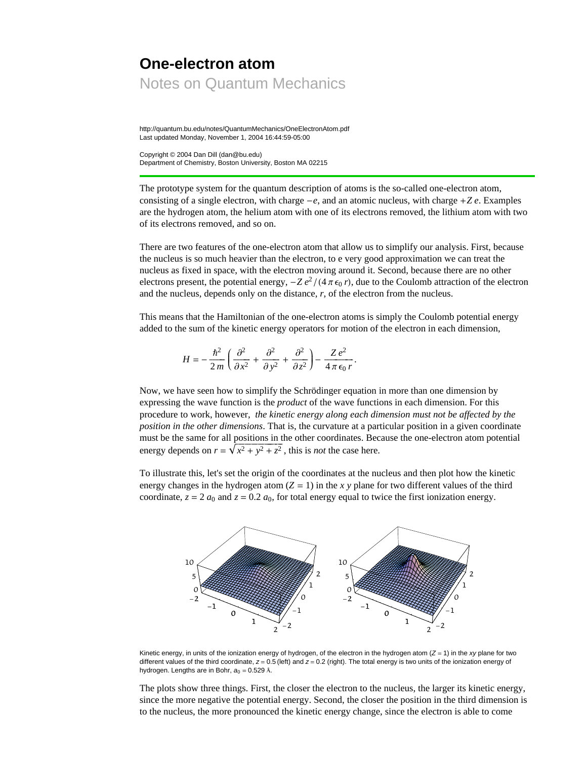# **One-electron atom** Notes on Quantum Mechanics

http://quantum.bu.edu/notes/QuantumMechanics/OneElectronAtom.pdf Last updated Monday, November 1, 2004 16:44:59-05:00

Copyright © 2004 Dan Dill (dan@bu.edu) Department of Chemistry, Boston University, Boston MA 02215

The prototype system for the quantum description of atoms is the so-called one-electron atom, consisting of a single electron, with charge  $-e$ , and an atomic nucleus, with charge  $+Ze$ . Examples are the hydrogen atom, the helium atom with one of its electrons removed, the lithium atom with two of its electrons removed, and so on.

There are two features of the one-electron atom that allow us to simplify our analysis. First, because the nucleus is so much heavier than the electron, to e very good approximation we can treat the nucleus as fixed in space, with the electron moving around it. Second, because there are no other electrons present, the potential energy,  $-Z e^2/(4 \pi \epsilon_0 r)$ , due to the Coulomb attraction of the electron and the nucleus, depends only on the distance, *r*, of the electron from the nucleus.

This means that the Hamiltonian of the one-electron atoms is simply the Coulomb potential energy added to the sum of the kinetic energy operators for motion of the electron in each dimension,

$$
H = -\frac{\hbar^2}{2m} \left( \frac{\partial^2}{\partial x^2} + \frac{\partial^2}{\partial y^2} + \frac{\partial^2}{\partial z^2} \right) - \frac{Ze^2}{4\pi\epsilon_0 r}.
$$

Now, we have seen how to simplify the Schrödinger equation in more than one dimension by expressing the wave function is the *product* of the wave functions in each dimension. For this procedure to work, however, *the kinetic energy along each dimension must not be affected by the position in the other dimensions*. That is, the curvature at a particular position in a given coordinate must be the same for all positions in the other coordinates. Because the one-electron atom potential energy depends on  $r = \sqrt{x^2 + y^2 + z^2}$ , this is *not* the case here.

To illustrate this, let's set the origin of the coordinates at the nucleus and then plot how the kinetic energy changes in the hydrogen atom  $(Z = 1)$  in the *x y* plane for two different values of the third coordinate,  $z = 2 a_0$  and  $z = 0.2 a_0$ , for total energy equal to twice the first ionization energy.



Kinetic energy, in units of the ionization energy of hydrogen, of the electron in the hydrogen atom  $(Z = 1)$  in the *xy* plane for two different values of the third coordinate,  $z = 0.5$  (left) and  $z = 0.2$  (right). The total energy is two units of the ionization energy of hydrogen. Lengths are in Bohr,  $a_0 = 0.529$  Å.

The plots show three things. First, the closer the electron to the nucleus, the larger its kinetic energy, since the more negative the potential energy. Second, the closer the position in the third dimension is to the nucleus, the more pronounced the kinetic energy change, since the electron is able to come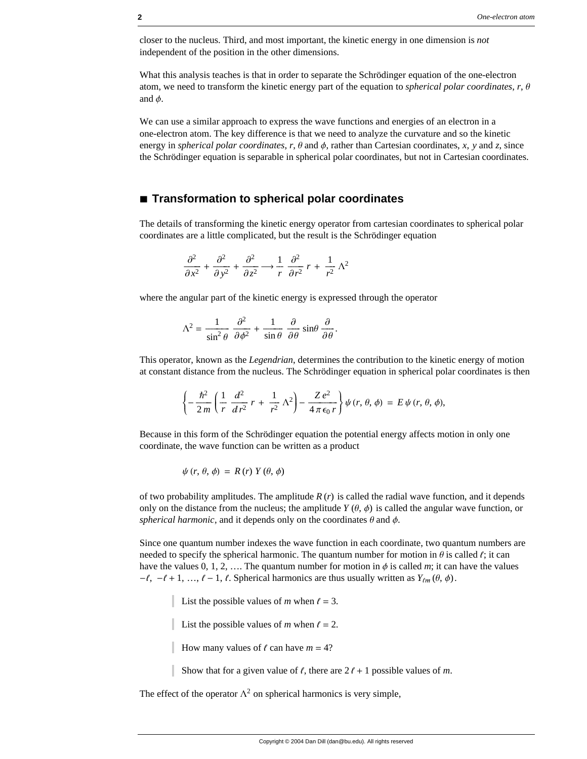closer to the nucleus. Third, and most important, the kinetic energy in one dimension is *not* independent of the position in the other dimensions.

What this analysis teaches is that in order to separate the Schrödinger equation of the one-electron atom, we need to transform the kinetic energy part of the equation to *spherical polar coordinates*,  $r$ ,  $\theta$ and  $\phi$ .

We can use a similar approach to express the wave functions and energies of an electron in a one-electron atom. The key difference is that we need to analyze the curvature and so the kinetic energy in *spherical polar coordinates*,  $r$ ,  $\theta$  and  $\phi$ , rather than Cartesian coordinates,  $x$ ,  $y$  and  $z$ , since the Schrödinger equation is separable in spherical polar coordinates, but not in Cartesian coordinates.

#### **à Transformation to spherical polar coordinates**

The details of transforming the kinetic energy operator from cartesian coordinates to spherical polar coordinates are a little complicated, but the result is the Schrödinger equation

$$
\frac{\partial^2}{\partial x^2} + \frac{\partial^2}{\partial y^2} + \frac{\partial^2}{\partial z^2} \longrightarrow \frac{1}{r} \frac{\partial^2}{\partial r^2} r + \frac{1}{r^2} \Lambda^2
$$

where the angular part of the kinetic energy is expressed through the operator

$$
\Lambda^2 = \frac{1}{\sin^2 \theta} \frac{\partial^2}{\partial \phi^2} + \frac{1}{\sin \theta} \frac{\partial}{\partial \theta} \sin \theta \frac{\partial}{\partial \theta}.
$$

This operator, known as the *Legendrian*, determines the contribution to the kinetic energy of motion at constant distance from the nucleus. The Schrödinger equation in spherical polar coordinates is then

$$
\left\{-\frac{\hbar^2}{2m}\left(\frac{1}{r}\frac{d^2}{dr^2}r + \frac{1}{r^2}\Lambda^2\right) - \frac{Ze^2}{4\pi\epsilon_0 r}\right\}\psi(r, \theta, \phi) = E\psi(r, \theta, \phi),
$$

Because in this form of the Schrödinger equation the potential energy affects motion in only one coordinate, the wave function can be written as a product

$$
\psi(r, \theta, \phi) = R(r) Y(\theta, \phi)
$$

of two probability amplitudes. The amplitude  $R(r)$  is called the radial wave function, and it depends only on the distance from the nucleus; the amplitude  $Y(\theta, \phi)$  is called the angular wave function, or *spherical harmonic*, and it depends only on the coordinates  $\theta$  and  $\phi$ .

Since one quantum number indexes the wave function in each coordinate, two quantum numbers are needed to specify the spherical harmonic. The quantum number for motion in  $\theta$  is called  $\ell$ ; it can have the values 0, 1, 2, .... The quantum number for motion in  $\phi$  is called *m*; it can have the values  $-\ell, -\ell + 1, ..., \ell - 1, \ell$ . Spherical harmonics are thus usually written as  $Y_{\ell m}(\theta, \phi)$ .

List the possible values of *m* when  $\ell = 3$ .

List the possible values of *m* when  $l = 2$ .

How many values of  $\ell$  can have  $m = 4$ ?

Show that for a given value of  $\ell$ , there are  $2 \ell + 1$  possible values of *m*.

The effect of the operator  $\Lambda^2$  on spherical harmonics is very simple,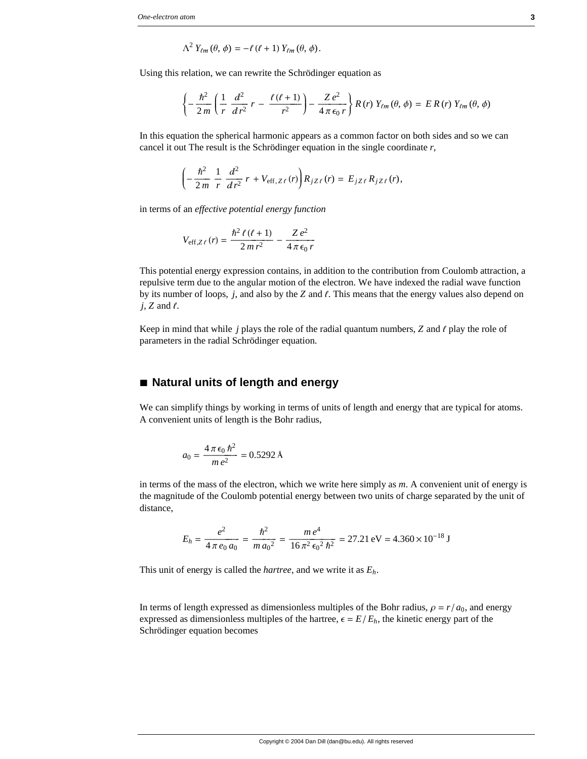$$
\Lambda^2 Y_{\ell m}(\theta,\phi) = -\ell(\ell+1) Y_{\ell m}(\theta,\phi).
$$

Using this relation, we can rewrite the Schrödinger equation as

$$
\left\{-\frac{\hbar^2}{2m}\left(\frac{1}{r}\frac{d^2}{dr^2}r-\frac{\ell(\ell+1)}{r^2}\right)-\frac{Ze^2}{4\pi\epsilon_0r}\right\}R(r)Y_{\ell m}(\theta,\phi)=ER(r)Y_{\ell m}(\theta,\phi)
$$

In this equation the spherical harmonic appears as a common factor on both sides and so we can cancel it out The result is the Schrödinger equation in the single coordinate *r*,

$$
\left(-\frac{\hbar^2}{2m} \frac{1}{r} \frac{d^2}{dr^2} r + V_{\text{eff}, Z\ell}(r)\right) R_{jZ\ell}(r) = E_{jZ\ell} R_{jZ\ell}(r),
$$

in terms of an *effective potential energy function*

$$
V_{\text{eff},Z\ell}(r) = \frac{\hbar^2 \ell (\ell + 1)}{2 m r^2} - \frac{Z e^2}{4 \pi \epsilon_0 r}
$$

This potential energy expression contains, in addition to the contribution from Coulomb attraction, a repulsive term due to the angular motion of the electron. We have indexed the radial wave function by its number of loops, *j*, and also by the *Z* and  $\ell$ . This means that the energy values also depend on  $j$ ,  $Z$  and  $\ell$ .

Keep in mind that while  $j$  plays the role of the radial quantum numbers,  $\overline{Z}$  and  $\ell$  play the role of parameters in the radial Schrödinger equation.

#### ■ **Natural units of length and energy**

We can simplify things by working in terms of units of length and energy that are typical for atoms. A convenient units of length is the Bohr radius,

$$
a_0 = \frac{4 \pi \epsilon_0 \hbar^2}{m e^2} = 0.5292 \text{ \AA}
$$

in terms of the mass of the electron, which we write here simply as *m*. A convenient unit of energy is the magnitude of the Coulomb potential energy between two units of charge separated by the unit of distance,

$$
E_h = \frac{e^2}{4 \pi \, e_0 \, a_0} = \frac{\hbar^2}{m \, a_0^2} = \frac{m \, e^4}{16 \, \pi^2 \, \epsilon_0^2 \, \hbar^2} = 27.21 \, \text{eV} = 4.360 \times 10^{-18} \, \text{J}
$$

This unit of energy is called the *hartree*, and we write it as *Eh*.

In terms of length expressed as dimensionless multiples of the Bohr radius,  $\rho = r/a_0$ , and energy expressed as dimensionless multiples of the hartree,  $\epsilon = E/E_h$ , the kinetic energy part of the Schrödinger equation becomes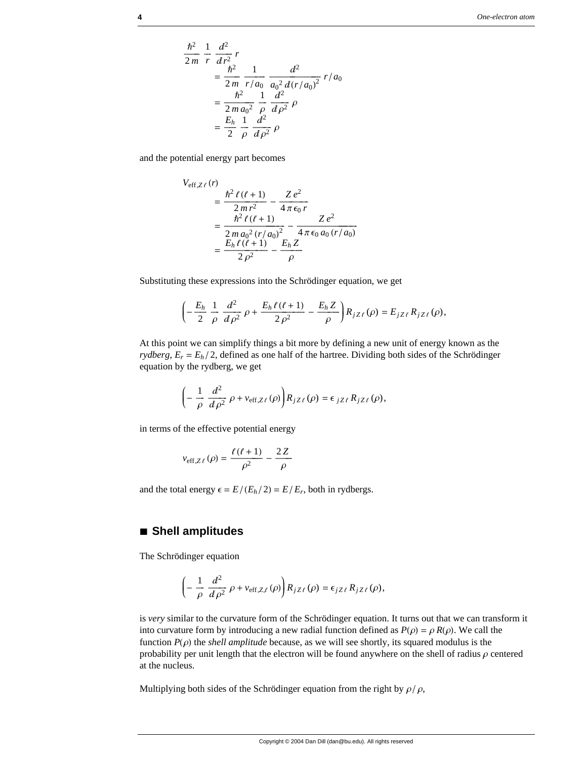$$
\frac{\hbar^2}{2m} = \frac{1}{r} \frac{d^2}{dr^2} r
$$
  
=  $\frac{\hbar^2}{2m} \frac{1}{r/a_0} \frac{d^2}{a_0^2 d(r/a_0)^2} r/a_0$   
=  $\frac{\hbar^2}{2m a_0^2} \frac{1}{\rho} \frac{d^2}{d\rho^2} \rho$   
=  $\frac{E_h}{2} \frac{1}{\rho} \frac{d^2}{d\rho^2} \rho$ 

and the potential energy part becomes

$$
V_{\text{eff},Z\ell}(r)
$$
  
= 
$$
\frac{\hbar^2 \ell (\ell + 1)}{2 m r^2} - \frac{Z e^2}{4 \pi \epsilon_0 r}
$$
  
= 
$$
\frac{\hbar^2 \ell (\ell + 1)}{2 m a_0^2 (r/a_0)^2} - \frac{Z e^2}{4 \pi \epsilon_0 a_0 (r/a_0)}
$$
  
= 
$$
\frac{E_h \ell (\ell + 1)}{2 \rho^2} - \frac{E_h Z}{\rho}
$$

Substituting these expressions into the Schrödinger equation, we get

$$
\left(-\frac{E_h}{2}\,\frac{1}{\rho}\,\frac{d^2}{d\rho^2}\,\rho + \frac{E_h\,\ell\,(\ell+1)}{2\,\rho^2} - \frac{E_h\,Z}{\rho}\right)R_{jZ\,\ell}\,(\rho) = E_{jZ\,\ell}\,R_{jZ\,\ell}\,(\rho),
$$

At this point we can simplify things a bit more by defining a new unit of energy known as the *rydberg*,  $E_r = E_h/2$ , defined as one half of the hartree. Dividing both sides of the Schrödinger equation by the rydberg, we get

$$
\left(-\frac{1}{\rho}\frac{d^2}{d\rho^2}\rho + v_{\text{eff},Z\ell}(\rho)\right)R_{jZ\ell}(\rho) = \epsilon_{jZ\ell}R_{jZ\ell}(\rho),
$$

in terms of the effective potential energy

$$
v_{\text{eff},Z\ell}(\rho) = \frac{\ell(\ell+1)}{\rho^2} - \frac{2Z}{\rho}
$$

and the total energy  $\epsilon = E/(E_h/2) = E/E_r$ , both in rydbergs.

### **à Shell amplitudes**

The Schrödinger equation

$$
\left(-\frac{1}{\rho}\frac{d^2}{d\rho^2}\rho + v_{\text{eff},Z,\ell}(\rho)\right)R_{jZ\ell}(\rho) = \epsilon_{jZ\ell}R_{jZ\ell}(\rho),
$$

is *very* similar to the curvature form of the Schrödinger equation. It turns out that we can transform it into curvature form by introducing a new radial function defined as  $P(\rho) = \rho R(\rho)$ . We call the function  $P(\rho)$  the *shell amplitude* because, as we will see shortly, its squared modulus is the probability per unit length that the electron will be found anywhere on the shell of radius  $\rho$  centered at the nucleus.

Multiplying both sides of the Schrödinger equation from the right by  $\rho / \rho$ ,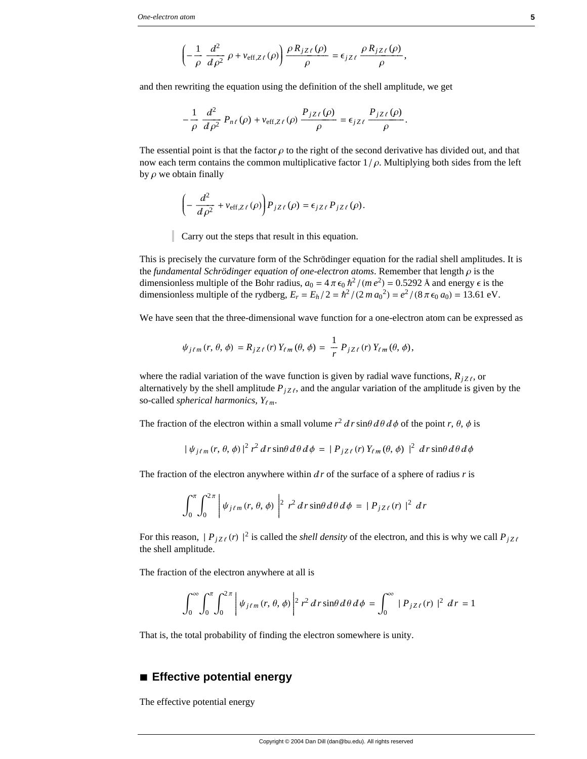$$
\left(-\frac{1}{\rho}\frac{d^2}{d\rho^2}\rho + v_{\text{eff},Z\ell}(\rho)\right)\frac{\rho R_{jZ\ell}(\rho)}{\rho} = \epsilon_{jZ\ell}\frac{\rho R_{jZ\ell}(\rho)}{\rho},
$$

and then rewriting the equation using the definition of the shell amplitude, we get

$$
-\frac{1}{\rho}\frac{d^2}{d\rho^2}P_{n\ell}(\rho)+v_{\text{eff},Z\ell}(\rho)\frac{P_{jZ\ell}(\rho)}{\rho}=\epsilon_{jZ\ell}\frac{P_{jZ\ell}(\rho)}{\rho}.
$$

The essential point is that the factor  $\rho$  to the right of the second derivative has divided out, and that now each term contains the common multiplicative factor  $1/\rho$ . Multiplying both sides from the left by  $\rho$  we obtain finally

$$
\left(-\frac{d^2}{d\rho^2} + v_{\text{eff},Z\ell}(\rho)\right)P_{jZ\ell}(\rho) = \epsilon_{jZ\ell} P_{jZ\ell}(\rho).
$$

Carry out the steps that result in this equation.

This is precisely the curvature form of the Schrödinger equation for the radial shell amplitudes. It is the *fundamental Schrödinger equation of one-electron atoms*. Remember that length  $\rho$  is the dimensionless multiple of the Bohr radius,  $a_0 = 4 \pi \epsilon_0 \hbar^2 / (m e^2) = 0.5292 \text{ Å}$  and energy  $\epsilon$  is the dimensionless multiple of the rydberg,  $E_r = E_h/2 = \hbar^2/(2 m a_0^2) = e^2/(8 \pi \epsilon_0 a_0) = 13.61 \text{ eV}.$ 

We have seen that the three-dimensional wave function for a one-electron atom can be expressed as

$$
\psi_{j\ell m}(r, \theta, \phi) = R_{jZ\ell}(r) Y_{\ell m}(\theta, \phi) = \frac{1}{r} P_{jZ\ell}(r) Y_{\ell m}(\theta, \phi),
$$

where the radial variation of the wave function is given by radial wave functions,  $R_{jZ\ell}$ , or alternatively by the shell amplitude  $P_{jZ\ell}$ , and the angular variation of the amplitude is given by the so-called *spherical harmonics*,  $Y_{\ell m}$ .

The fraction of the electron within a small volume  $r^2 d r \sin\theta d\theta d\phi$  of the point *r*,  $\theta$ ,  $\phi$  is

$$
|\psi_{j\ell m}(r,\theta,\phi)|^2 r^2 dr \sin\theta d\theta d\phi = |P_{jZ\ell}(r)Y_{\ell m}(\theta,\phi)|^2 dr \sin\theta d\theta d\phi
$$

The fraction of the electron anywhere within  $dr$  of the surface of a sphere of radius  $r$  is

$$
\int_0^{\pi} \int_0^{2\pi} \left| \psi_{j\ell m}(r,\theta,\phi) \right|^2 r^2 dr \sin\theta d\theta d\phi = |P_{jZ\ell}(r)|^2 dr
$$

For this reason,  $|P_{jZ\ell}(r)|^2$  is called the *shell density* of the electron, and this is why we call  $P_{jZ\ell}$ the shell amplitude.

The fraction of the electron anywhere at all is

$$
\int_0^\infty \int_0^\pi \int_0^{2\pi} \left| \psi_{j\ell m}(r,\theta,\phi) \right|^2 r^2 dr \sin\theta d\theta d\phi = \int_0^\infty |P_{jZ\ell}(r)|^2 dr = 1
$$

That is, the total probability of finding the electron somewhere is unity.

# **à Effective potential energy**

The effective potential energy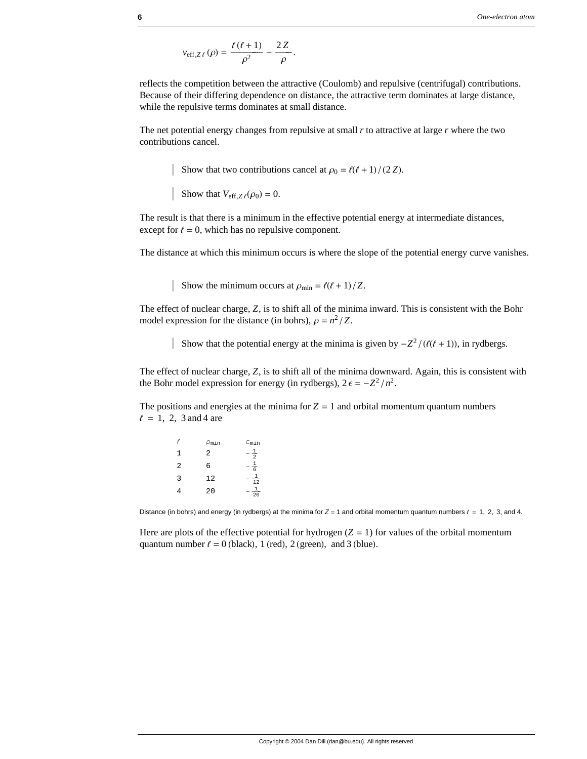$$
v_{\text{eff},Z\ell}(\rho) = \frac{\ell(\ell+1)}{\rho^2} - \frac{2Z}{\rho}.
$$

reflects the competition between the attractive (Coulomb) and repulsive (centrifugal) contributions. Because of their differing dependence on distance, the attractive term dominates at large distance, while the repulsive terms dominates at small distance.

The net potential energy changes from repulsive at small *r* to attractive at large *r* where the two contributions cancel.

Show that two contributions cancel at  $\rho_0 = \ell(\ell + 1)/(2 Z)$ .

Show that  $V_{\text{eff},Z\ell}(\rho_0) = 0$ .

The result is that there is a minimum in the effective potential energy at intermediate distances, except for  $\ell = 0$ , which has no repulsive component.

The distance at which this minimum occurs is where the slope of the potential energy curve vanishes.

Show the minimum occurs at  $\rho_{\min} = \ell(\ell + 1)/Z$ .

The effect of nuclear charge, *Z*, is to shift all of the minima inward. This is consistent with the Bohr model expression for the distance (in bohrs),  $\rho = n^2/Z$ .

Show that the potential energy at the minima is given by  $-Z^2/(\ell(\ell+1))$ , in rydbergs.

The effect of nuclear charge, *Z*, is to shift all of the minima downward. Again, this is consistent with the Bohr model expression for energy (in rydbergs),  $2 \epsilon = -Z^2/n^2$ .

The positions and energies at the minima for  $Z = 1$  and orbital momentum quantum numbers  $\ell = 1, 2, 3$  and 4 are

|   | $\rho_{\tt min}$ | $\epsilon_{\tt min}$ |
|---|------------------|----------------------|
| 1 | 2                | $\frac{1}{2}$        |
| 2 | 6                | 1<br>$\overline{6}$  |
| 3 | 12               | $\overline{12}$      |
| 4 | 20               | 20                   |

Distance (in bohrs) and energy (in rydbergs) at the minima for  $Z = 1$  and orbital momentum quantum numbers  $\ell = 1, 2, 3$ , and 4.

Here are plots of the effective potential for hydrogen  $(Z = 1)$  for values of the orbital momentum quantum number  $\ell = 0$  (black), 1 (red), 2 (green), and 3 (blue).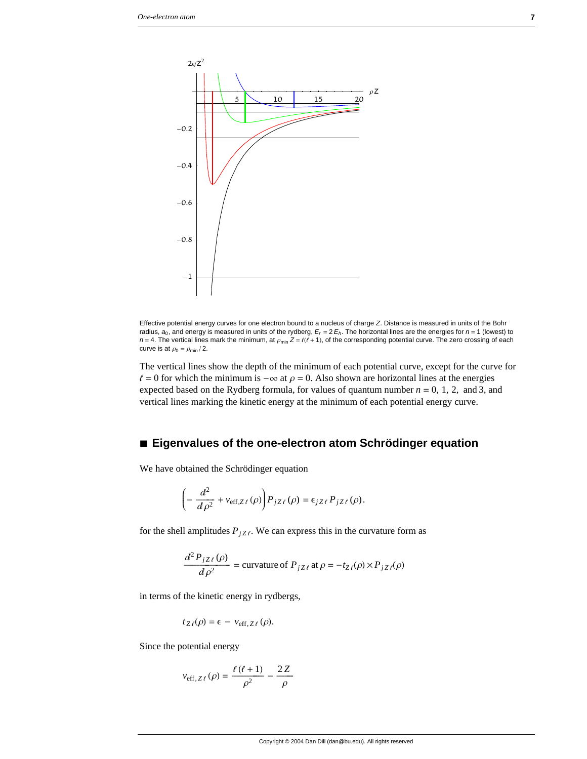

Effective potential energy curves for one electron bound to a nucleus of charge *Z*. Distance is measured in units of the Bohr radius, *a*0, and energy is measured in units of the rydberg, *Er* = 2 *Eh*. The horizontal lines are the energies for *n* = 1 (lowest) to  $n = 4$ . The vertical lines mark the minimum, at  $\rho_{min} Z = \ell(\ell + 1)$ , of the corresponding potential curve. The zero crossing of each curve is at  $\rho_0 = \rho_{\text{min}}/2$ .

The vertical lines show the depth of the minimum of each potential curve, except for the curve for  $\ell = 0$  for which the minimum is  $-\infty$  at  $\rho = 0$ . Also shown are horizontal lines at the energies expected based on the Rydberg formula, for values of quantum number  $n = 0, 1, 2,$  and 3, and vertical lines marking the kinetic energy at the minimum of each potential energy curve.

## **à Eigenvalues of the one-electron atom Schrödinger equation**

We have obtained the Schrödinger equation

$$
\left(-\frac{d^2}{d\rho^2} + v_{\text{eff},Z\ell}(\rho)\right)P_{jZ\ell}(\rho) = \epsilon_{jZ\ell} P_{jZ\ell}(\rho).
$$

for the shell amplitudes  $P_{jZ\ell}$ . We can express this in the curvature form as

$$
\frac{d^2 P_{jZ\ell}(\rho)}{d\rho^2} = \text{curvature of } P_{jZ\ell} \text{ at } \rho = -t_{Z\ell}(\rho) \times P_{jZ\ell}(\rho)
$$

in terms of the kinetic energy in rydbergs,

$$
t_{Z\ell}(\rho) = \epsilon - v_{\text{eff},Z\ell}(\rho).
$$

Since the potential energy

$$
v_{\text{eff}, Z\ell}(\rho) = \frac{\ell(\ell+1)}{\rho^2} - \frac{2Z}{\rho}
$$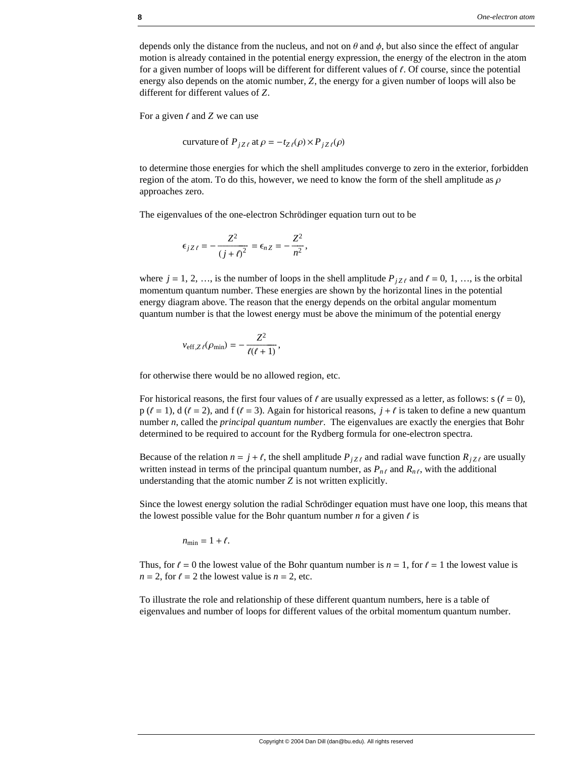depends only the distance from the nucleus, and not on  $\theta$  and  $\phi$ , but also since the effect of angular motion is already contained in the potential energy expression, the energy of the electron in the atom for a given number of loops will be different for different values of  $\ell$ . Of course, since the potential energy also depends on the atomic number, *Z*, the energy for a given number of loops will also be different for different values of *Z*.

For a given  $\ell$  and  $Z$  we can use

curvature of  $P_{iZ\ell}$  at  $\rho = -t_{Z\ell}(\rho) \times P_{iZ\ell}(\rho)$ 

to determine those energies for which the shell amplitudes converge to zero in the exterior, forbidden region of the atom. To do this, however, we need to know the form of the shell amplitude as  $\rho$ approaches zero.

The eigenvalues of the one-electron Schrödinger equation turn out to be

$$
\epsilon_{jZ\ell}=-\frac{Z^2}{(j+\ell)^2}=\epsilon_{nZ}=-\frac{Z^2}{n^2},
$$

where  $j = 1, 2, ...,$  is the number of loops in the shell amplitude  $P_{jZ\ell}$  and  $\ell = 0, 1, ...,$  is the orbital momentum quantum number. These energies are shown by the horizontal lines in the potential energy diagram above. The reason that the energy depends on the orbital angular momentum quantum number is that the lowest energy must be above the minimum of the potential energy

$$
v_{\text{eff},Z\ell}(\rho_{\min})=-\frac{Z^2}{\ell(\ell+1)},
$$

for otherwise there would be no allowed region, etc.

For historical reasons, the first four values of  $\ell$  are usually expressed as a letter, as follows: s ( $\ell = 0$ ), p ( $\ell = 1$ ), d ( $\ell = 2$ ), and f ( $\ell = 3$ ). Again for historical reasons,  $j + \ell$  is taken to define a new quantum number *n*, called the *principal quantum number*. The eigenvalues are exactly the energies that Bohr determined to be required to account for the Rydberg formula for one-electron spectra.

Because of the relation  $n = j + \ell$ , the shell amplitude  $P_{jZ\ell}$  and radial wave function  $R_{jZ\ell}$  are usually written instead in terms of the principal quantum number, as  $P_{n\ell}$  and  $R_{n\ell}$ , with the additional understanding that the atomic number *Z* is not written explicitly.

Since the lowest energy solution the radial Schrödinger equation must have one loop, this means that the lowest possible value for the Bohr quantum number  $n$  for a given  $\ell$  is

$$
n_{\min} = 1 + \ell.
$$

Thus, for  $\ell = 0$  the lowest value of the Bohr quantum number is  $n = 1$ , for  $\ell = 1$  the lowest value is  $n = 2$ , for  $\ell = 2$  the lowest value is  $n = 2$ , etc.

To illustrate the role and relationship of these different quantum numbers, here is a table of eigenvalues and number of loops for different values of the orbital momentum quantum number.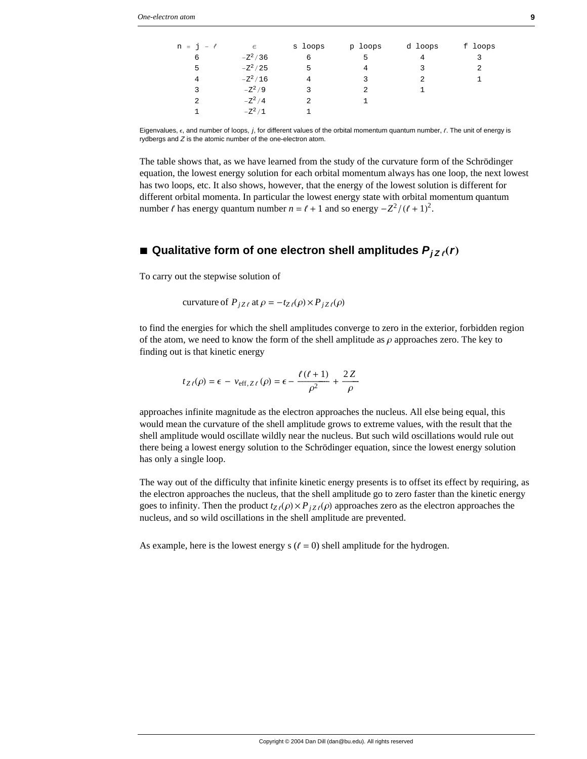| $n = j - \ell$ | $\epsilon$ | s loops | p loops | d loops | f loops |
|----------------|------------|---------|---------|---------|---------|
| 6              | $-Z^2/36$  |         |         |         |         |
| 5              | $-Z^2/25$  | 5       | 4       | 3       | 2       |
| 4              | $-Z^2/16$  |         | २       |         |         |
| 3              | $-Z^2/9$   | ર       | 2       |         |         |
| $\mathfrak{D}$ | $-Z^2/4$   |         |         |         |         |
|                |            |         |         |         |         |

Eigenvalues,  $\epsilon$ , and number of loops,  $j$ , for different values of the orbital momentum quantum number,  $\ell$ . The unit of energy is rydbergs and *Z* is the atomic number of the one-electron atom.

The table shows that, as we have learned from the study of the curvature form of the Schrödinger equation, the lowest energy solution for each orbital momentum always has one loop, the next lowest has two loops, etc. It also shows, however, that the energy of the lowest solution is different for different orbital momenta. In particular the lowest energy state with orbital momentum quantum number  $\ell$  has energy quantum number  $n = \ell + 1$  and so energy  $-Z^2/(\ell + 1)^2$ .

## $\blacksquare$  Qualitative form of one electron shell amplitudes  $P_{jZ_{\ell}}(r)$

To carry out the stepwise solution of

curvature of 
$$
P_{jZ\ell}
$$
 at  $\rho = -t_{Z\ell}(\rho) \times P_{jZ\ell}(\rho)$ 

1  $-Z^2/1$  1

to find the energies for which the shell amplitudes converge to zero in the exterior, forbidden region of the atom, we need to know the form of the shell amplitude as  $\rho$  approaches zero. The key to finding out is that kinetic energy

$$
t_{Z\ell}(\rho) = \epsilon - v_{\text{eff}, Z\ell}(\rho) = \epsilon - \frac{\ell(\ell+1)}{\rho^2} + \frac{2Z}{\rho}
$$

approaches infinite magnitude as the electron approaches the nucleus. All else being equal, this would mean the curvature of the shell amplitude grows to extreme values, with the result that the shell amplitude would oscillate wildly near the nucleus. But such wild oscillations would rule out there being a lowest energy solution to the Schrödinger equation, since the lowest energy solution has only a single loop.

The way out of the difficulty that infinite kinetic energy presents is to offset its effect by requiring, as the electron approaches the nucleus, that the shell amplitude go to zero faster than the kinetic energy goes to infinity. Then the product  $t_{Z}(\rho) \times P_{jZ}(\rho)$  approaches zero as the electron approaches the nucleus, and so wild oscillations in the shell amplitude are prevented.

As example, here is the lowest energy s  $(\ell = 0)$  shell amplitude for the hydrogen.